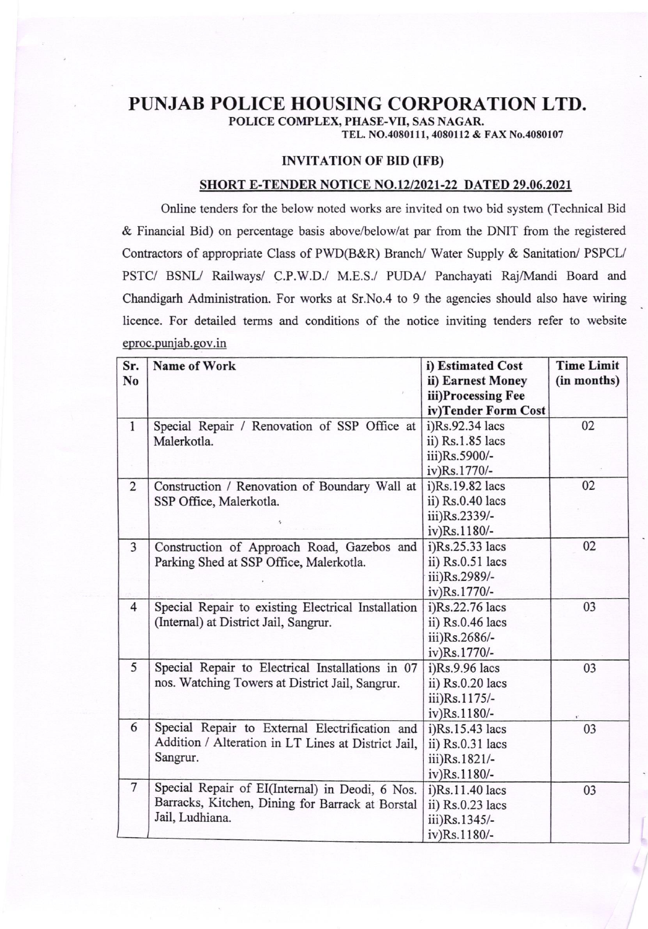## PUNJAB POLICE HOUSING CORPORATION LTD.

POLICE COMPLEX, PHASE-VII, SAS NAGAR.

TEL. NO.4080111, 4080112 & FAX No.4080107

## INVITATION OF BID (IFB)

## SHORT E-TENDER NOTICE NO.12/2021-22 DATED 29.06.2021

Online tenders for the below noted works are invited on two bid system (Technical Bid & Financial Bid) on percentage basis above/below/at par from the DMT from the registered Contractors of appropriate Class of PWD(B&R) Branch/ Water Supply & Sanitation/ PSPCL/ PSTC/ BSNL/ Railways/ C.P.W.D./ M.E.S./ PUDA/ Panchayati Raj/Mandi Board and Chandigarh Administration. For works at Sr.No.4 to 9 the agencies should also have wiring licence. For detailed terms and conditions of the notice inviting tenders refer to website eproc.puniab.qov.in

| Sr.            | Name of Work                                        | i) Estimated Cost   | <b>Time Limit</b> |
|----------------|-----------------------------------------------------|---------------------|-------------------|
| N <sub>0</sub> |                                                     | ii) Earnest Money   | (in months)       |
|                |                                                     | iii)Processing Fee  |                   |
|                |                                                     | iv)Tender Form Cost |                   |
| $\mathbf{1}$   | Special Repair / Renovation of SSP Office at        | i)Rs.92.34 lacs     | 02                |
|                | Malerkotla.                                         | ii) Rs.1.85 lacs    |                   |
|                |                                                     | iii)Rs.5900/-       |                   |
|                |                                                     | iv)Rs.1770/-        |                   |
| $\overline{2}$ | Construction / Renovation of Boundary Wall at       | i)Rs.19.82 lacs     | 02                |
|                | SSP Office, Malerkotla.                             | ii) Rs.0.40 lacs    |                   |
|                |                                                     | iii)Rs.2339/-       |                   |
|                |                                                     | iv)Rs.1180/-        |                   |
| $\overline{3}$ | Construction of Approach Road, Gazebos and          | i)Rs.25.33 lacs     | 02                |
|                | Parking Shed at SSP Office, Malerkotla.             | ii) Rs.0.51 lacs    |                   |
|                |                                                     | iii)Rs.2989/-       |                   |
|                |                                                     | iv)Rs.1770/-        |                   |
| $\overline{4}$ | Special Repair to existing Electrical Installation  | i)Rs.22.76 lacs     | 03                |
|                | (Internal) at District Jail, Sangrur.               | ii) Rs.0.46 lacs    |                   |
|                |                                                     | iii)Rs.2686/-       |                   |
|                |                                                     | iv)Rs.1770/-        |                   |
| 5              | Special Repair to Electrical Installations in 07    | $i)$ Rs.9.96 lacs   | 03                |
|                | nos. Watching Towers at District Jail, Sangrur.     | ii) Rs.0.20 lacs    |                   |
|                |                                                     | iii)Rs.1175/-       |                   |
|                |                                                     | iv)Rs.1180/-        |                   |
| 6              | Special Repair to External Electrification and      | i)Rs.15.43 lacs     | 03                |
|                | Addition / Alteration in LT Lines at District Jail, | ii) Rs.0.31 lacs    |                   |
|                | Sangrur.                                            | iii)Rs.1821/-       |                   |
|                |                                                     | iv)Rs.1180/-        |                   |
| $\overline{7}$ | Special Repair of EI(Internal) in Deodi, 6 Nos.     | i)Rs.11.40 lacs     | 03                |
|                | Barracks, Kitchen, Dining for Barrack at Borstal    | ii) Rs.0.23 lacs    |                   |
|                | Jail, Ludhiana.                                     | iii)Rs.1345/-       |                   |
|                |                                                     | iv)Rs.1180/-        |                   |